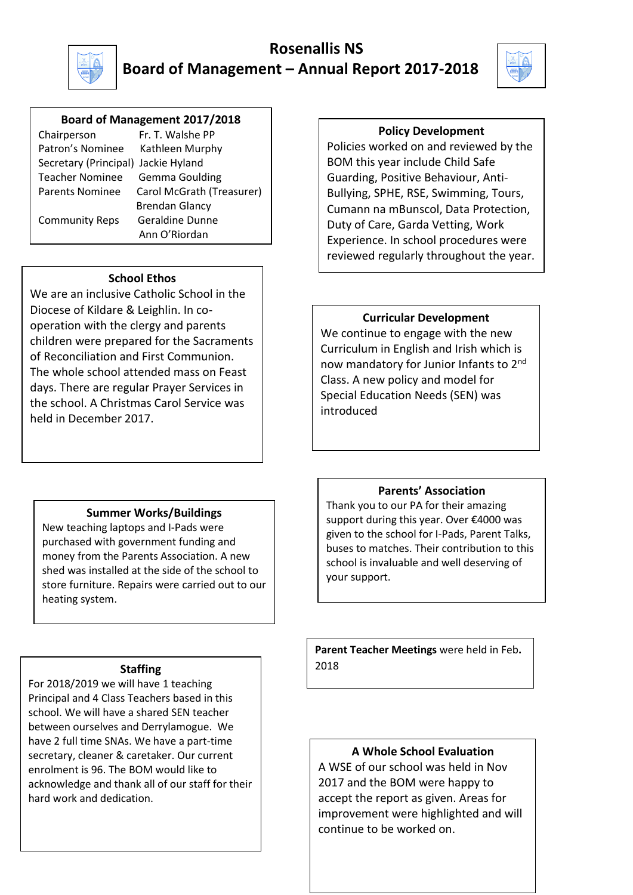

# **Rosenallis NS Board of Management – Annual Report 2017-2018**



#### Crest **Board of Management 2017/2018**

| Chairperson                    | Fr. T. W       |
|--------------------------------|----------------|
| Patron's Nominee               | Kathlee        |
| Secretary (Principal) Jackie H |                |
| <b>Teacher Nominee</b>         | Gemma          |
| <b>Parents Nominee</b>         | Carol M        |
|                                | <b>Brendar</b> |
| <b>Community Reps</b>          | Geraldi        |
|                                | Ann ∩'I        |

/alshe PP en Murphy Hyland a Goulding **IcGrath (Treasurer)** n Glancy ne Dunne Ann O'Riordan

#### **School Ethos**

We are an inclusive Catholic School in the Diocese of Kildare & Leighlin. In cooperation with the clergy and parents children were prepared for the Sacraments of Reconciliation and First Communion. The whole school attended mass on Feast days. There are regular Prayer Services in the school. A Christmas Carol Service was held in December 2017.

## **Policy Development**

Policies worked on and reviewed by the BOM this year include Child Safe Guarding, Positive Behaviour, Anti-Bullying, SPHE, RSE, Swimming, Tours, Cumann na mBunscol, Data Protection, Duty of Care, Garda Vetting, Work Experience. In school procedures were reviewed regularly throughout the year.

## **Curricular Development**

We continue to engage with the new Curriculum in English and Irish which is now mandatory for Junior Infants to 2<sup>nd</sup> Class. A new policy and model for Special Education Needs (SEN) was introduced

# **Summer Works/Buildings**

New teaching laptops and I-Pads were purchased with government funding and money from the Parents Association. A new shed was installed at the side of the school to store furniture. Repairs were carried out to our heating system.

## **Staffing**

For 2018/2019 we will have 1 teaching Principal and 4 Class Teachers based in this school. We will have a shared SEN teacher between ourselves and Derrylamogue. We have 2 full time SNAs. We have a part-time secretary, cleaner & caretaker. Our current enrolment is 96. The BOM would like to acknowledge and thank all of our staff for their hard work and dedication.

#### **Parents' Association**

Thank you to our PA for their amazing support during this year. Over €4000 was given to the school for I-Pads, Parent Talks, buses to matches. Their contribution to this school is invaluable and well deserving of your support.

**Parent Teacher Meetings** were held in Feb**.**  2018

# **A Whole School Evaluation**

A WSE of our school was held in Nov 2017 and the BOM were happy to accept the report as given. Areas for improvement were highlighted and will continue to be worked on.